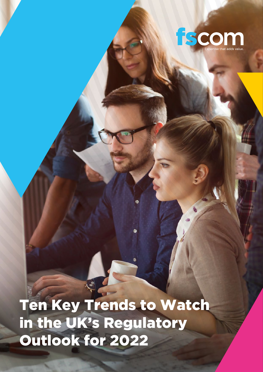

Ten Key Trends to Watch in the UK's Regulatory Outlook for 2022

Ten Key Trends to Watch in the UK's Regulatory Outlook for 2022 1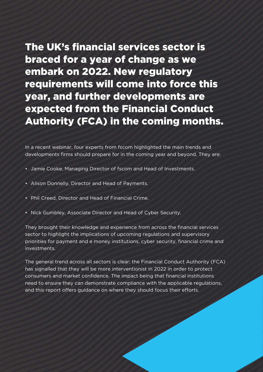The UK's financial services sector is braced for a year of change as we embark on 2022. New regulatory requirements will come into force this year, and further developments are expected from the Financial Conduct Authority (FCA) in the coming months.

In a recent webinar, four experts from fscom highlighted the main trends and developments firms should prepare for in the coming year and beyond. They are:

- Jamie Cooke, Managing Director of fscom and Head of Investments.
- Alison Donnelly, Director and Head of Payments.
- Phil Creed, Director and Head of Financial Crime.
- Nick Gumbley, Associate Director and Head of Cyber Security.

They brought their knowledge and experience from across the financial services sector to highlight the implications of upcoming regulations and supervisory priorities for payment and e money institutions, cyber security, financial crime and investments.

The general trend across all sectors is clear: the Financial Conduct Authority (FCA) has signalled that they will be more interventionist in 2022 in order to protect consumers and market confidence. The impact being that financial institutions need to ensure they can demonstrate compliance with the applicable regulations, and this report offers guidance on where they should focus their efforts.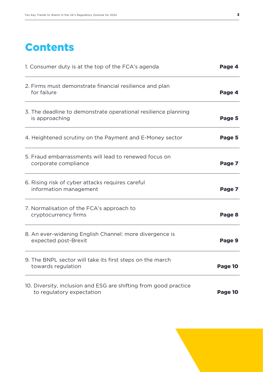# Contents

| 1. Consumer duty is at the top of the FCA's agenda                                            | Page 4  |
|-----------------------------------------------------------------------------------------------|---------|
| 2. Firms must demonstrate financial resilience and plan<br>for failure                        | Page 4  |
| 3. The deadline to demonstrate operational resilience planning<br>is approaching              | Page 5  |
| 4. Heightened scrutiny on the Payment and E-Money sector                                      | Page 5  |
| 5. Fraud embarrassments will lead to renewed focus on<br>corporate compliance                 | Page 7  |
| 6. Rising risk of cyber attacks requires careful<br>information management                    | Page 7  |
| 7. Normalisation of the FCA's approach to<br>cryptocurrency firms                             | Page 8  |
| 8. An ever-widening English Channel: more divergence is<br>expected post-Brexit               | Page 9  |
| 9. The BNPL sector will take its first steps on the march<br>towards regulation               | Page 10 |
| 10. Diversity, inclusion and ESG are shifting from good practice<br>to regulatory expectation | Page 10 |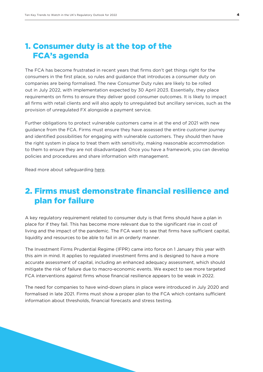#### 1. Consumer duty is at the top of the FCA's agenda

The FCA has become frustrated in recent years that firms don't get things right for the consumers in the first place, so rules and guidance that introduces a consumer duty on companies are being formalised. The new Consumer Duty rules are likely to be rolled out in July 2022, with implementation expected by 30 April 2023. Essentially, they place requirements on firms to ensure they deliver good consumer outcomes. It is likely to impact all firms with retail clients and will also apply to unregulated but ancillary services, such as the provision of unregulated FX alongside a payment service.

Further obligations to protect vulnerable customers came in at the end of 2021 with new guidance from the FCA. Firms must ensure they have assessed the entire customer journey and identified possibilities for engaging with vulnerable customers. They should then have the right system in place to treat them with sensitivity, making reasonable accommodation to them to ensure they are not disadvantaged. Once you have a framework, you can develop policies and procedures and share information with management.

Read more about safeguarding here.

#### 2. Firms must demonstrate financial resilience and plan for failure

A key regulatory requirement related to consumer duty is that firms should have a plan in place for if they fail. This has become more relevant due to the significant rise in cost of living and the impact of the pandemic. The FCA want to see that firms have sufficient capital, liquidity and resources to be able to fail in an orderly manner.

The Investment Firms Prudential Regime (IFPR) came into force on 1 January this year with this aim in mind. It applies to regulated investment firms and is designed to have a more accurate assessment of capital, including an enhanced adequacy assessment, which should mitigate the risk of failure due to macro-economic events. We expect to see more targeted FCA interventions against firms whose financial resilience appears to be weak in 2022.

The need for companies to have wind-down plans in place were introduced in July 2020 and formalised in late 2021. Firms must show a proper plan to the FCA which contains sufficient information about thresholds, financial forecasts and stress testing.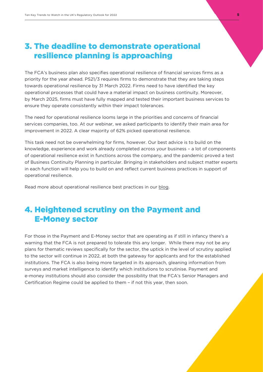#### 3. The deadline to demonstrate operational resilience planning is approaching

The FCA's business plan also specifies operational resilience of financial services firms as a priority for the year ahead. PS21/3 requires firms to demonstrate that they are taking steps towards operational resilience by 31 March 2022. Firms need to have identified the key operational processes that could have a material impact on business continuity. Moreover, by March 2025, firms must have fully mapped and tested their important business services to ensure they operate consistently within their impact tolerances.

The need for operational resilience looms large in the priorities and concerns of financial services companies, too. At our webinar, we asked participants to identify their main area for improvement in 2022. A clear majority of 62% picked operational resilience.

This task need not be overwhelming for firms, however. Our best advice is to build on the knowledge, experience and work already completed across your business – a lot of components of operational resilience exist in functions across the company, and the pandemic proved a test of Business Continuity Planning in particular. Bringing in stakeholders and subject matter experts in each function will help you to build on and reflect current business practices in support of operational resilience.

Read more about operational resilience best practices in our blog.

#### 4. Heightened scrutiny on the Payment and E-Money sector

For those in the Payment and E-Money sector that are operating as if still in infancy there's a warning that the FCA is not prepared to tolerate this any longer. While there may not be any plans for thematic reviews specifically for the sector, the uptick in the level of scrutiny applied to the sector will continue in 2022, at both the gateway for applicants and for the established institutions. The FCA is also being more targeted in its approach, gleaning information from surveys and market intelligence to identify which institutions to scrutinise. Payment and e-money institutions should also consider the possibility that the FCA's Senior Managers and Certification Regime could be applied to them – if not this year, then soon.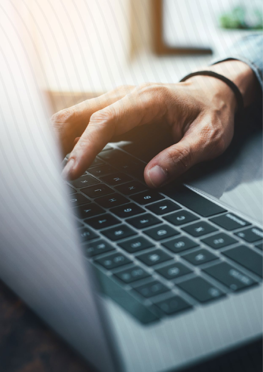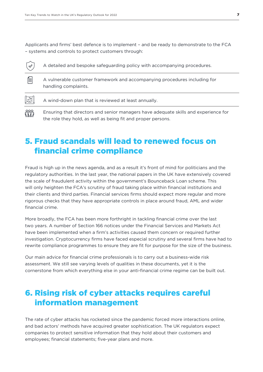Applicants and firms' best defence is to implement – and be ready to demonstrate to the FCA – systems and controls to protect customers through:

| $\mathcal Q$         | A detailed and bespoke safeguarding policy with accompanying procedures.                          |
|----------------------|---------------------------------------------------------------------------------------------------|
| 信                    | A vulnerable customer framework and accompanying procedures including for<br>handling complaints. |
| $\sqrt{\frac{2}{x}}$ | A wind-down plan that is reviewed at least annually.                                              |
|                      | Ensuring that directors and senior managers have adequate skills and experience for               |

5. Fraud scandals will lead to renewed focus on

the role they hold, as well as being fit and proper persons.

financial crime compliance

Fraud is high up in the news agenda, and as a result it's front of mind for politicians and the regulatory authorities. In the last year, the national papers in the UK have extensively covered the scale of fraudulent activity within the government's Bounceback Loan scheme. This will only heighten the FCA's scrutiny of fraud taking place within financial institutions and their clients and third parties. Financial services firms should expect more regular and more rigorous checks that they have appropriate controls in place around fraud, AML and wider financial crime.

More broadly, the FCA has been more forthright in tackling financial crime over the last two years. A number of Section 166 notices under the Financial Services and Markets Act have been implemented when a firm's activities caused them concern or required further investigation. Cryptocurrency firms have faced especial scrutiny and several firms have had to rewrite compliance programmes to ensure they are fit for purpose for the size of the business.

Our main advice for financial crime professionals is to carry out a business-wide risk assessment. We still see varying levels of qualities in these documents, yet it is the cornerstone from which everything else in your anti-financial crime regime can be built out.

#### 6. Rising risk of cyber attacks requires careful information management

The rate of cyber attacks has rocketed since the pandemic forced more interactions online, and bad actors' methods have acquired greater sophistication. The UK regulators expect companies to protect sensitive information that they hold about their customers and employees; financial statements; five-year plans and more.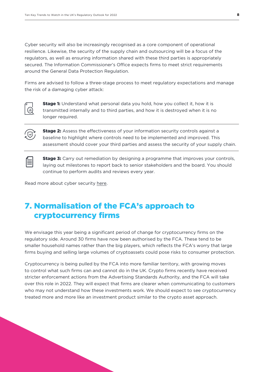Cyber security will also be increasingly recognised as a core component of operational resilience. Likewise, the security of the supply chain and outsourcing will be a focus of the regulators, as well as ensuring information shared with these third parties is appropriately secured. The Information Commissioner's Office expects firms to meet strict requirements around the General Data Protection Regulation.

Firms are advised to follow a three-stage process to meet regulatory expectations and manage the risk of a damaging cyber attack:



**Stage 1:** Understand what personal data you hold, how you collect it, how it is transmitted internally and to third parties, and how it is destroyed when it is no longer required.



**Stage 2:** Assess the effectiveness of your information security controls against a baseline to highlight where controls need to be implemented and improved. This assessment should cover your third parties and assess the security of your supply chain.



**Stage 3:** Carry out remediation by designing a programme that improves your controls, laying out milestones to report back to senior stakeholders and the board. You should continue to perform audits and reviews every year.

Read more about cyber security here.

#### 7. Normalisation of the FCA's approach to cryptocurrency firms

We envisage this year being a significant period of change for cryptocurrency firms on the regulatory side. Around 30 firms have now been authorised by the FCA. These tend to be smaller household names rather than the big players, which reflects the FCA's worry that large firms buying and selling large volumes of cryptoassets could pose risks to consumer protection.

Cryptocurrency is being pulled by the FCA into more familiar territory, with growing moves to control what such firms can and cannot do in the UK. Crypto firms recently have received stricter enforcement actions from the Advertising Standards Authority, and the FCA will take over this role in 2022. They will expect that firms are clearer when communicating to customers who may not understand how these investments work. We should expect to see cryptocurrency treated more and more like an investment product similar to the crypto asset approach.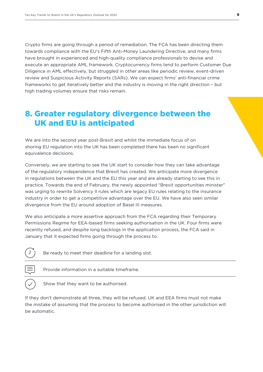Crypto firms are going through a period of remediation. The FCA has been directing them towards compliance with the EU's Fifth Anti-Money Laundering Directive, and many firms have brought in experienced and high-quality compliance professionals to devise and execute an appropriate AML framework. Cryptocurrency firms tend to perform Customer Due Diligence in AML effectively, but struggled in other areas like periodic review, event-driven review and Suspicious Activity Reports (SARs). We can expect firms' anti-financial crime frameworks to get iteratively better and the industry is moving in the right direction – but high trading volumes ensure that risks remain.

#### 8. Greater regulatory divergence between the UK and EU is anticipated

We are into the second year post-Brexit and whilst the immediate focus of on shoring EU regulation into the UK has been completed there has been no significant equivalence decisions.

Conversely, we are starting to see the UK start to consider how they can take advantage of the regulatory independence that Brexit has created. We anticipate more divergence in regulations between the UK and the EU this year and are already starting to see this in practice. Towards the end of February, the newly appointed "Brexit opportunities minister" was urging to rewrite Solvency II rules which are legacy EU rules relating to the insurance industry in order to get a competitive advantage over the EU. We have also seen similar divergence from the EU around adoption of Basel III measures.

We also anticipate a more assertive approach from the FCA regarding their Temporary Permissions Regime for EEA-based firms seeking authorisation in the UK. Four firms were recently refused, and despite long backlogs in the application process, the FCA said in January that it expected firms going through the process to:



Be ready to meet their deadline for a landing slot.



Provide information in a suitable timeframe.



Show that they want to be authorised.

If they don't demonstrate all three, they will be refused. UK and EEA firms must not make the mistake of assuming that the process to become authorised in the other jurisdiction will be automatic.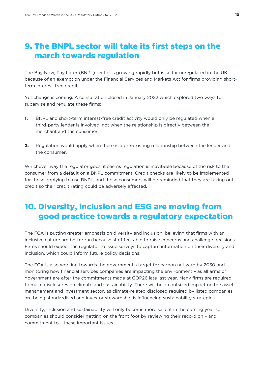#### 9. The BNPL sector will take its first steps on the march towards regulation

The Buy Now, Pay Later (BNPL) sector is growing rapidly but is so far unregulated in the UK because of an exemption under the Financial Services and Markets Act for firms providing shortterm interest-free credit.

Yet change is coming. A consultation closed in January 2022 which explored two ways to supervise and regulate these firms:

- 1. BNPL and short-term interest-free credit activity would only be regulated when a third-party lender is involved, not when the relationship is directly between the merchant and the consumer.
- **2.** Regulation would apply when there is a pre-existing relationship between the lender and the consumer.

Whichever way the regulator goes, it seems regulation is inevitable because of the risk to the consumer from a default on a BNPL commitment. Credit checks are likely to be implemented for those applying to use BNPL, and those consumers will be reminded that they are taking out credit so their credit rating could be adversely affected.

### 10. Diversity, inclusion and ESG are moving from good practice towards a regulatory expectation

The FCA is putting greater emphasis on diversity and inclusion, believing that firms with an inclusive culture are better run because staff feel able to raise concerns and challenge decisions. Firms should expect the regulator to issue surveys to capture information on their diversity and inclusion, which could inform future policy decisions.

The FCA is also working towards the government's target for carbon net zero by 2050 and monitoring how financial services companies are impacting the environment – as all arms of government are after the commitments made at COP26 late last year. Many firms are required to make disclosures on climate and sustainability. There will be an outsized impact on the asset management and investment sector, as climate-related disclosed required by listed companies are being standardised and investor stewardship is influencing sustainability strategies.

Diversity, inclusion and sustainability will only become more salient in the coming year so companies should consider getting on the front foot by reviewing their record on – and commitment to – these important issues.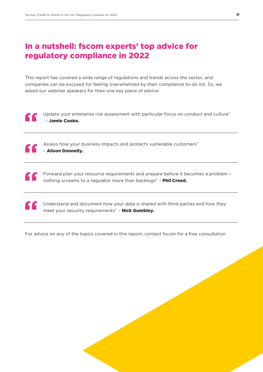#### In a nutshell: fscom experts' top advice for regulatory compliance in 2022

This report has covered a wide range of regulations and trends across the sector, and companies can be excused for feeling overwhelmed by their compliance to-do list. So, we asked our webinar speakers for their one key piece of advice:

Update your enterprise risk assessment with particular focus on conduct and culture"  $\epsilon$ ¬– Jamie Cooke.

Assess how your business impacts and protects vulnerable customers" – Alison Donnelly.

Forward plan your resource requirements and prepare before it becomes a problem – " nothing screams to a regulator more than backlogs" - Phil Creed.

Understand and document how your data is shared with third parties and how they meet your security requirements" - Nick Gumbley.

For advice on any of the topics covered in this report, contact fscom for a free consultation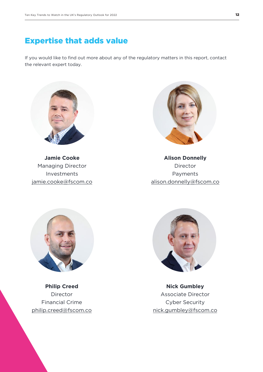## Expertise that adds value

If you would like to find out more about any of the regulatory matters in this report, contact the relevant expert today.



**Jamie Cooke** Managing Director Investments jamie.cooke@fscom.co



**Alison Donnelly** Director Payments alison.donnelly@fscom.co



**Philip Creed** Director Financial Crime philip.creed@fscom.co



**Nick Gumbley** Associate Director Cyber Security nick.gumbley@fscom.co